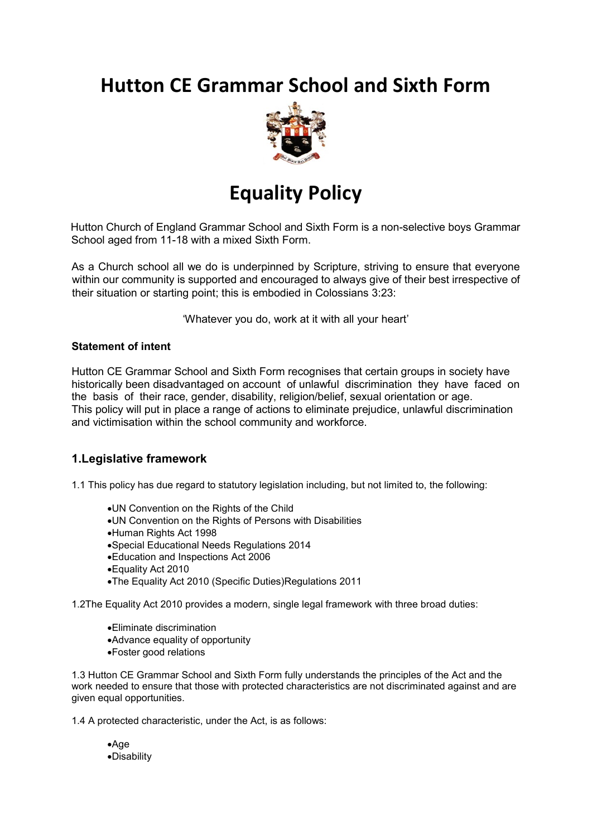# **Hutton CE Grammar School and Sixth Form**



# **Equality Policy**

Hutton Church of England Grammar School and Sixth Form is a non-selective boys Grammar School aged from 11-18 with a mixed Sixth Form.

As a Church school all we do is underpinned by Scripture, striving to ensure that everyone within our community is supported and encouraged to always give of their best irrespective of their situation or starting point; this is embodied in Colossians 3:23:

'Whatever you do, work at it with all your heart'

#### **Statement of intent**

Hutton CE Grammar School and Sixth Form recognises that certain groups in society have historically been disadvantaged on account of unlawful discrimination they have faced on the basis of their race, gender, disability, religion/belief, sexual orientation or age. This policy will put in place a range of actions to eliminate prejudice, unlawful discrimination and victimisation within the school community and workforce.

## **1.Legislative framework**

1.1 This policy has due regard to statutory legislation including, but not limited to, the following:

- •UN Convention on the Rights of the Child
- •UN Convention on the Rights of Persons with Disabilities
- •Human Rights Act 1998
- •Special Educational Needs Regulations 2014
- •Education and Inspections Act 2006
- •Equality Act 2010
- •The Equality Act 2010 (Specific Duties)Regulations 2011

1.2The Equality Act 2010 provides a modern, single legal framework with three broad duties:

- •Eliminate discrimination
- •Advance equality of opportunity
- •Foster good relations

1.3 Hutton CE Grammar School and Sixth Form fully understands the principles of the Act and the work needed to ensure that those with protected characteristics are not discriminated against and are given equal opportunities.

1.4 A protected characteristic, under the Act, is as follows:

•Age •Disability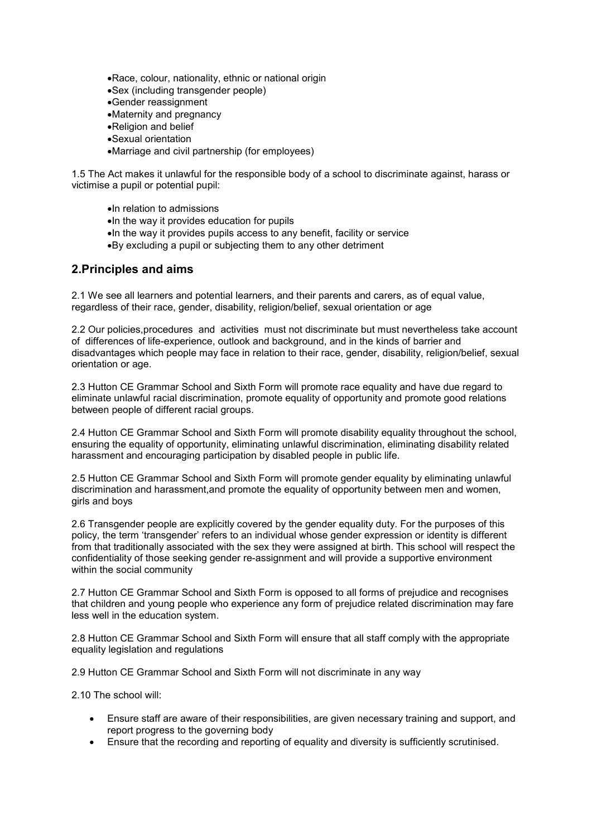- •Race, colour, nationality, ethnic or national origin
- •Sex (including transgender people)
- •Gender reassignment
- •Maternity and pregnancy
- •Religion and belief
- •Sexual orientation
- •Marriage and civil partnership (for employees)

1.5 The Act makes it unlawful for the responsible body of a school to discriminate against, harass or victimise a pupil or potential pupil:

- •In relation to admissions
- •In the way it provides education for pupils
- •In the way it provides pupils access to any benefit, facility or service
- •By excluding a pupil or subjecting them to any other detriment

### **2.Principles and aims**

2.1 We see all learners and potential learners, and their parents and carers, as of equal value, regardless of their race, gender, disability, religion/belief, sexual orientation or age

2.2 Our policies,procedures and activities must not discriminate but must nevertheless take account of differences of life-experience, outlook and background, and in the kinds of barrier and disadvantages which people may face in relation to their race, gender, disability, religion/belief, sexual orientation or age.

2.3 Hutton CE Grammar School and Sixth Form will promote race equality and have due regard to eliminate unlawful racial discrimination, promote equality of opportunity and promote good relations between people of different racial groups.

2.4 Hutton CE Grammar School and Sixth Form will promote disability equality throughout the school, ensuring the equality of opportunity, eliminating unlawful discrimination, eliminating disability related harassment and encouraging participation by disabled people in public life.

2.5 Hutton CE Grammar School and Sixth Form will promote gender equality by eliminating unlawful discrimination and harassment,and promote the equality of opportunity between men and women, girls and boys

2.6 Transgender people are explicitly covered by the gender equality duty. For the purposes of this policy, the term 'transgender' refers to an individual whose gender expression or identity is different from that traditionally associated with the sex they were assigned at birth. This school will respect the confidentiality of those seeking gender re-assignment and will provide a supportive environment within the social community

2.7 Hutton CE Grammar School and Sixth Form is opposed to all forms of prejudice and recognises that children and young people who experience any form of prejudice related discrimination may fare less well in the education system.

2.8 Hutton CE Grammar School and Sixth Form will ensure that all staff comply with the appropriate equality legislation and regulations

2.9 Hutton CE Grammar School and Sixth Form will not discriminate in any way

2.10 The school will:

- Ensure staff are aware of their responsibilities, are given necessary training and support, and report progress to the governing body
- Ensure that the recording and reporting of equality and diversity is sufficiently scrutinised.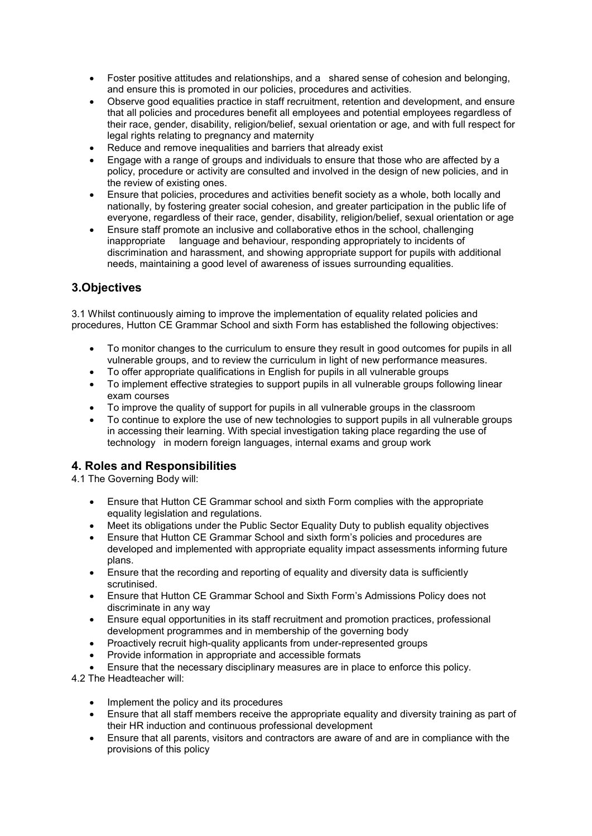- Foster positive attitudes and relationships, and a shared sense of cohesion and belonging, and ensure this is promoted in our policies, procedures and activities.
- Observe good equalities practice in staff recruitment, retention and development, and ensure that all policies and procedures benefit all employees and potential employees regardless of their race, gender, disability, religion/belief, sexual orientation or age, and with full respect for legal rights relating to pregnancy and maternity
- Reduce and remove inequalities and barriers that already exist
- Engage with a range of groups and individuals to ensure that those who are affected by a policy, procedure or activity are consulted and involved in the design of new policies, and in the review of existing ones.
- Ensure that policies, procedures and activities benefit society as a whole, both locally and nationally, by fostering greater social cohesion, and greater participation in the public life of everyone, regardless of their race, gender, disability, religion/belief, sexual orientation or age
- Ensure staff promote an inclusive and collaborative ethos in the school, challenging inappropriate language and behaviour, responding appropriately to incidents of discrimination and harassment, and showing appropriate support for pupils with additional needs, maintaining a good level of awareness of issues surrounding equalities.

# **3.Objectives**

3.1 Whilst continuously aiming to improve the implementation of equality related policies and procedures, Hutton CE Grammar School and sixth Form has established the following objectives:

- To monitor changes to the curriculum to ensure they result in good outcomes for pupils in all vulnerable groups, and to review the curriculum in light of new performance measures.
- To offer appropriate qualifications in English for pupils in all vulnerable groups
- To implement effective strategies to support pupils in all vulnerable groups following linear exam courses
- To improve the quality of support for pupils in all vulnerable groups in the classroom
- To continue to explore the use of new technologies to support pupils in all vulnerable groups in accessing their learning. With special investigation taking place regarding the use of technology in modern foreign languages, internal exams and group work

# **4. Roles and Responsibilities**

4.1 The Governing Body will:

- Ensure that Hutton CE Grammar school and sixth Form complies with the appropriate equality legislation and regulations.
- Meet its obligations under the Public Sector Equality Duty to publish equality objectives
- Ensure that Hutton CE Grammar School and sixth form's policies and procedures are developed and implemented with appropriate equality impact assessments informing future plans.
- Ensure that the recording and reporting of equality and diversity data is sufficiently scrutinised.
- Ensure that Hutton CE Grammar School and Sixth Form's Admissions Policy does not discriminate in any way
- Ensure equal opportunities in its staff recruitment and promotion practices, professional development programmes and in membership of the governing body
- Proactively recruit high-quality applicants from under-represented groups
- Provide information in appropriate and accessible formats
- Ensure that the necessary disciplinary measures are in place to enforce this policy.

4.2 The Headteacher will:

- Implement the policy and its procedures
- Ensure that all staff members receive the appropriate equality and diversity training as part of their HR induction and continuous professional development
- Ensure that all parents, visitors and contractors are aware of and are in compliance with the provisions of this policy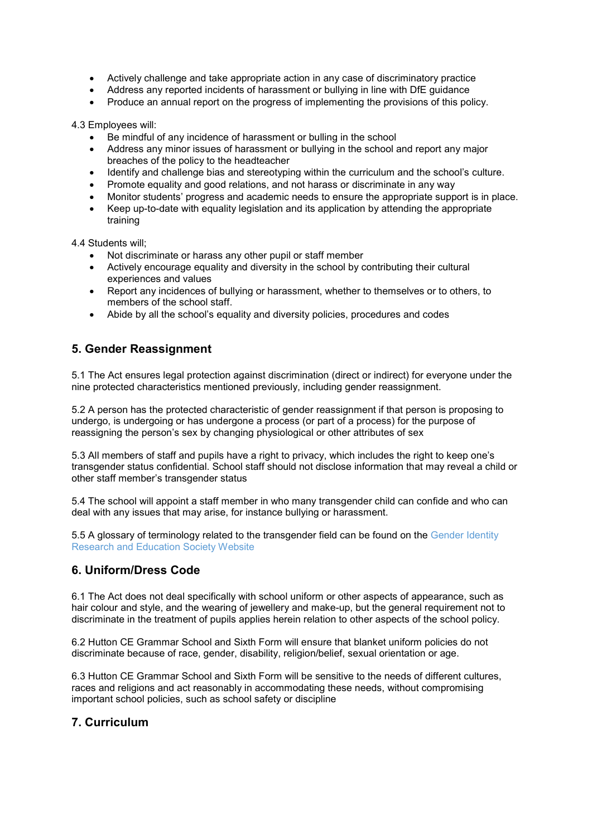- Actively challenge and take appropriate action in any case of discriminatory practice
- Address any reported incidents of harassment or bullying in line with DfE guidance
- Produce an annual report on the progress of implementing the provisions of this policy.

4.3 Employees will:

- Be mindful of any incidence of harassment or bulling in the school
- Address any minor issues of harassment or bullying in the school and report any major breaches of the policy to the headteacher
- Identify and challenge bias and stereotyping within the curriculum and the school's culture.
- Promote equality and good relations, and not harass or discriminate in any way
- Monitor students' progress and academic needs to ensure the appropriate support is in place.
- Keep up-to-date with equality legislation and its application by attending the appropriate training

4.4 Students will;

- Not discriminate or harass any other pupil or staff member
- Actively encourage equality and diversity in the school by contributing their cultural experiences and values
- Report any incidences of bullying or harassment, whether to themselves or to others, to members of the school staff.
- Abide by all the school's equality and diversity policies, procedures and codes

## **5. Gender Reassignment**

5.1 The Act ensures legal protection against discrimination (direct or indirect) for everyone under the nine protected characteristics mentioned previously, including gender reassignment.

5.2 A person has the protected characteristic of gender reassignment if that person is proposing to undergo, is undergoing or has undergone a process (or part of a process) for the purpose of reassigning the person's sex by changing physiological or other attributes of sex

5.3 All members of staff and pupils have a right to privacy, which includes the right to keep one's transgender status confidential. School staff should not disclose information that may reveal a child or other staff member's transgender status

5.4 The school will appoint a staff member in who many transgender child can confide and who can deal with any issues that may arise, for instance bullying or harassment.

5.5 A glossary of terminology related to the transgender field can be found on the Gender Identity Research and Education Society Website

#### **6. Uniform/Dress Code**

6.1 The Act does not deal specifically with school uniform or other aspects of appearance, such as hair colour and style, and the wearing of jewellery and make-up, but the general requirement not to discriminate in the treatment of pupils applies herein relation to other aspects of the school policy.

6.2 Hutton CE Grammar School and Sixth Form will ensure that blanket uniform policies do not discriminate because of race, gender, disability, religion/belief, sexual orientation or age.

6.3 Hutton CE Grammar School and Sixth Form will be sensitive to the needs of different cultures, races and religions and act reasonably in accommodating these needs, without compromising important school policies, such as school safety or discipline

## **7. Curriculum**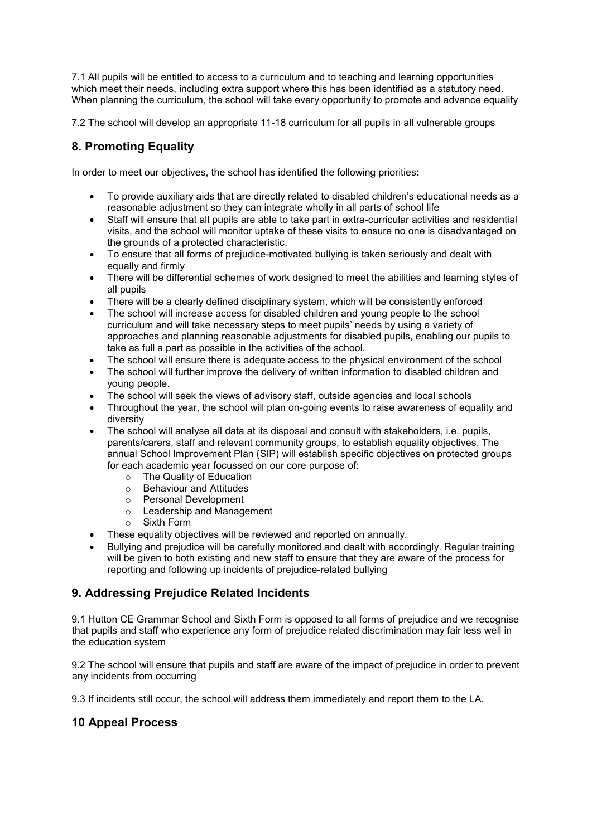7.1 All pupils will be entitled to access to a curriculum and to teaching and learning opportunities which meet their needs, including extra support where this has been identified as a statutory need. When planning the curriculum, the school will take every opportunity to promote and advance equality

7.2 The school will develop an appropriate 11-18 curriculum for all pupils in all vulnerable groups

# **8. Promoting Equality**

In order to meet our objectives, the school has identified the following priorities**:**

- To provide auxiliary aids that are directly related to disabled children's educational needs as a reasonable adjustment so they can integrate wholly in all parts of school life
- Staff will ensure that all pupils are able to take part in extra-curricular activities and residential visits, and the school will monitor uptake of these visits to ensure no one is disadvantaged on the grounds of a protected characteristic.
- To ensure that all forms of prejudice-motivated bullying is taken seriously and dealt with equally and firmly
- There will be differential schemes of work designed to meet the abilities and learning styles of all pupils
- There will be a clearly defined disciplinary system, which will be consistently enforced
- The school will increase access for disabled children and young people to the school curriculum and will take necessary steps to meet pupils' needs by using a variety of approaches and planning reasonable adjustments for disabled pupils, enabling our pupils to take as full a part as possible in the activities of the school.
- The school will ensure there is adequate access to the physical environment of the school
- The school will further improve the delivery of written information to disabled children and young people.
- The school will seek the views of advisory staff, outside agencies and local schools
- Throughout the year, the school will plan on-going events to raise awareness of equality and diversity
- The school will analyse all data at its disposal and consult with stakeholders, i.e. pupils, parents/carers, staff and relevant community groups, to establish equality objectives. The annual School Improvement Plan (SIP) will establish specific objectives on protected groups for each academic year focussed on our core purpose of:
	- o The Quality of Education
	- o Behaviour and Attitudes
	- o Personal Development
	- o Leadership and Management
	- o Sixth Form
- These equality objectives will be reviewed and reported on annually.
- Bullying and prejudice will be carefully monitored and dealt with accordingly. Regular training will be given to both existing and new staff to ensure that they are aware of the process for reporting and following up incidents of prejudice-related bullying

## **9. Addressing Prejudice Related Incidents**

9.1 Hutton CE Grammar School and Sixth Form is opposed to all forms of prejudice and we recognise that pupils and staff who experience any form of prejudice related discrimination may fair less well in the education system

9.2 The school will ensure that pupils and staff are aware of the impact of prejudice in order to prevent any incidents from occurring

9.3 If incidents still occur, the school will address them immediately and report them to the LA.

# **10 Appeal Process**